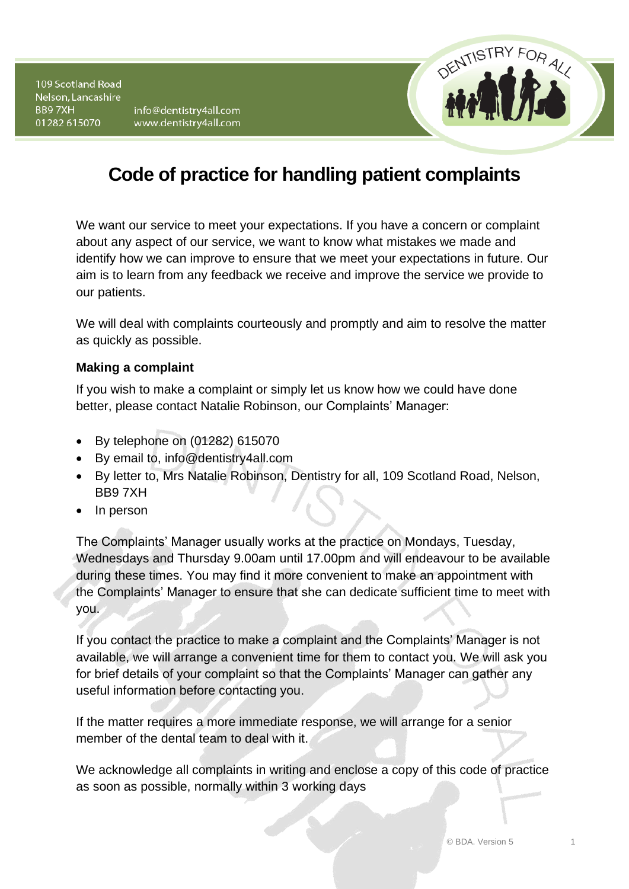109 Scotland Road Nelson, Lancashire BB97XH 01282 615070

info@dentistry4all.com www.dentistry4all.com



# **Code of practice for handling patient complaints**

We want our service to meet your expectations. If you have a concern or complaint about any aspect of our service, we want to know what mistakes we made and identify how we can improve to ensure that we meet your expectations in future. Our aim is to learn from any feedback we receive and improve the service we provide to our patients.

We will deal with complaints courteously and promptly and aim to resolve the matter as quickly as possible.

## **Making a complaint**

If you wish to make a complaint or simply let us know how we could have done better, please contact Natalie Robinson, our Complaints' Manager:

- By telephone on (01282) 615070
- By email to, info@dentistry4all.com
- By letter to, Mrs Natalie Robinson, Dentistry for all, 109 Scotland Road, Nelson, BB9 7XH
- In person

The Complaints' Manager usually works at the practice on Mondays, Tuesday, Wednesdays and Thursday 9.00am until 17.00pm and will endeavour to be available during these times. You may find it more convenient to make an appointment with the Complaints' Manager to ensure that she can dedicate sufficient time to meet with you.

If you contact the practice to make a complaint and the Complaints' Manager is not available, we will arrange a convenient time for them to contact you. We will ask you for brief details of your complaint so that the Complaints' Manager can gather any useful information before contacting you.

If the matter requires a more immediate response, we will arrange for a senior member of the dental team to deal with it.

We acknowledge all complaints in writing and enclose a copy of this code of practice as soon as possible, normally within 3 working days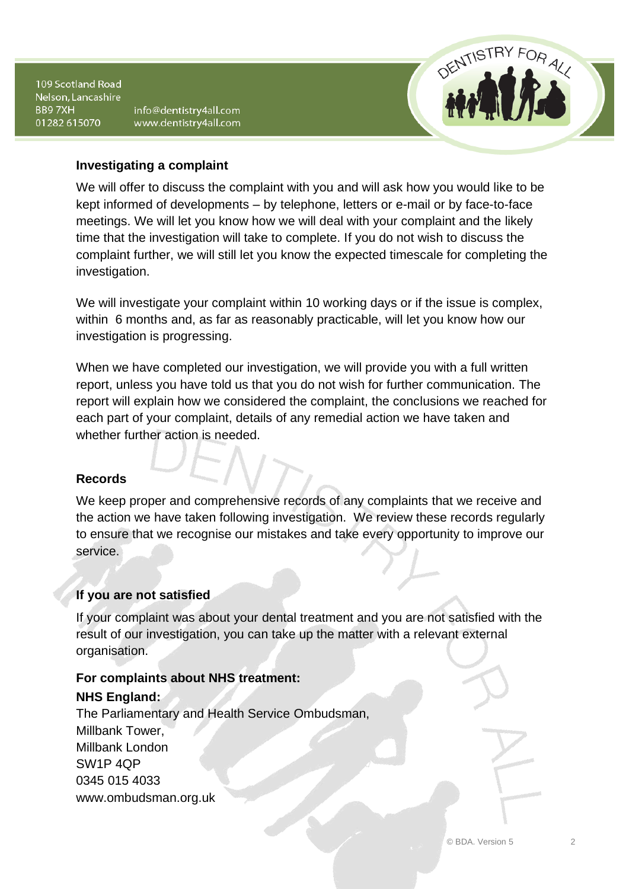109 Scotland Road Nelson, Lancashire BB97XH 01282 615070

info@dentistry4all.com www.dentistry4all.com



### **Investigating a complaint**

We will offer to discuss the complaint with you and will ask how you would like to be kept informed of developments – by telephone, letters or e-mail or by face-to-face meetings. We will let you know how we will deal with your complaint and the likely time that the investigation will take to complete. If you do not wish to discuss the complaint further, we will still let you know the expected timescale for completing the investigation.

We will investigate your complaint within 10 working days or if the issue is complex, within 6 months and, as far as reasonably practicable, will let you know how our investigation is progressing.

When we have completed our investigation, we will provide you with a full written report, unless you have told us that you do not wish for further communication. The report will explain how we considered the complaint, the conclusions we reached for each part of your complaint, details of any remedial action we have taken and whether further action is needed.

## **Records**

We keep proper and comprehensive records of any complaints that we receive and the action we have taken following investigation. We review these records regularly to ensure that we recognise our mistakes and take every opportunity to improve our service.

## **If you are not satisfied**

If your complaint was about your dental treatment and you are not satisfied with the result of our investigation, you can take up the matter with a relevant external organisation.

## **For complaints about NHS treatment:**

## **NHS England:**

The Parliamentary and Health Service Ombudsman, Millbank Tower, Millbank London SW1P 4QP 0345 015 4033 www.ombudsman.org.uk